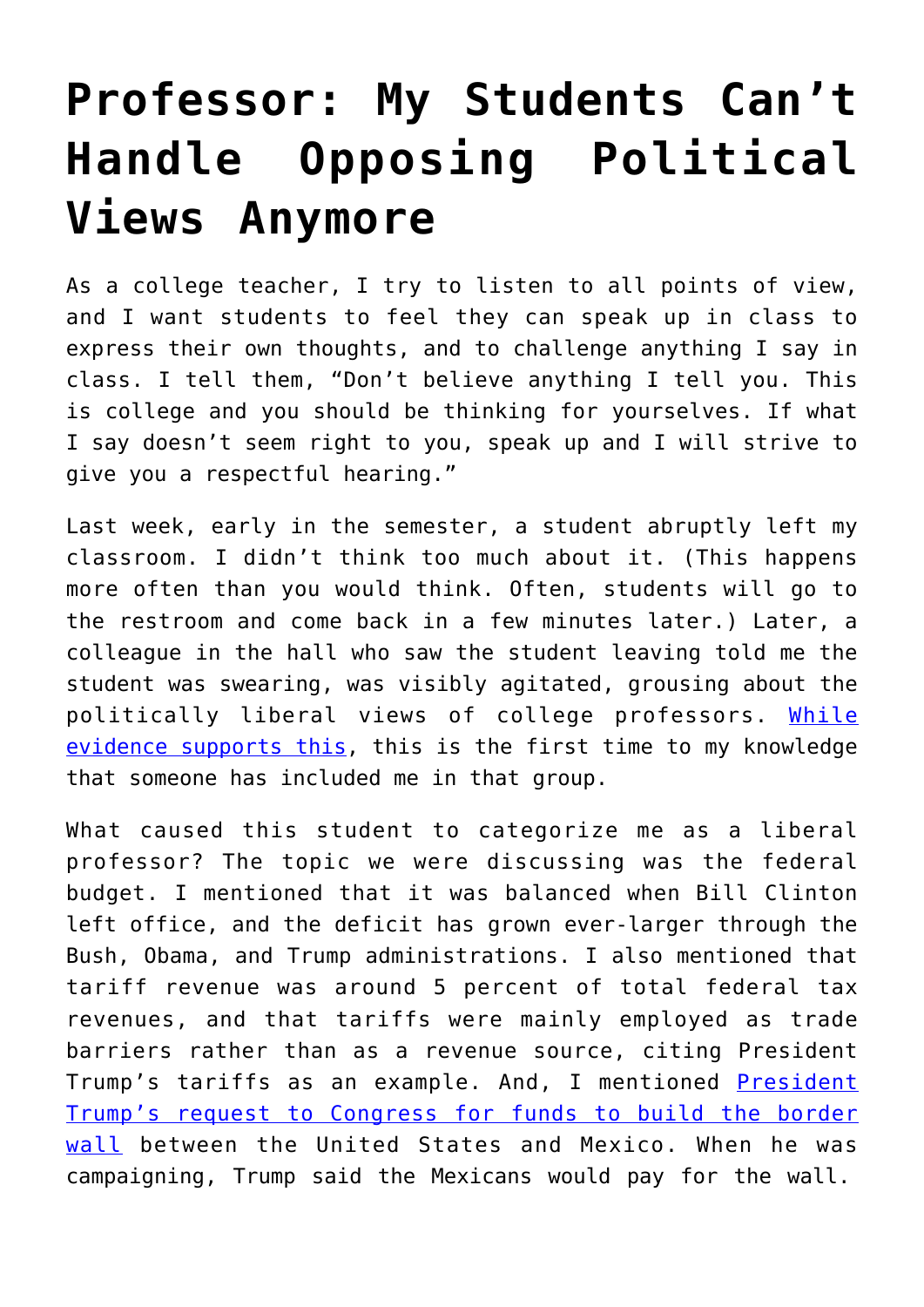## **[Professor: My Students Can't](https://intellectualtakeout.org/2018/09/professor-my-students-cant-handle-opposing-political-views-anymore/) [Handle Opposing Political](https://intellectualtakeout.org/2018/09/professor-my-students-cant-handle-opposing-political-views-anymore/) [Views Anymore](https://intellectualtakeout.org/2018/09/professor-my-students-cant-handle-opposing-political-views-anymore/)**

As a college teacher, I try to listen to all points of view, and I want students to feel they can speak up in class to express their own thoughts, and to challenge anything I say in class. I tell them, "Don't believe anything I tell you. This is college and you should be thinking for yourselves. If what I say doesn't seem right to you, speak up and I will strive to give you a respectful hearing."

Last week, early in the semester, a student abruptly left my classroom. I didn't think too much about it. (This happens more often than you would think. Often, students will go to the restroom and come back in a few minutes later.) Later, a colleague in the hall who saw the student leaving told me the student was swearing, was visibly agitated, grousing about the politically liberal views of college professors. [While](https://www.washingtontimes.com/news/2016/oct/6/liberal-professors-outnumber-conservatives-12-1/) [evidence supports this](https://www.washingtontimes.com/news/2016/oct/6/liberal-professors-outnumber-conservatives-12-1/), this is the first time to my knowledge that someone has included me in that group.

What caused this student to categorize me as a liberal professor? The topic we were discussing was the federal budget. I mentioned that it was balanced when Bill Clinton left office, and the deficit has grown ever-larger through the Bush, Obama, and Trump administrations. I also mentioned that tariff revenue was around 5 percent of total federal tax revenues, and that tariffs were mainly employed as trade barriers rather than as a revenue source, citing President Trump's tariffs as an example. And, I mentioned [President](https://www.cnbc.com/2018/06/26/trump-wants-to-ask-congress-for-more-border-wall-money.html) [Trump's request to Congress for funds to build the border](https://www.cnbc.com/2018/06/26/trump-wants-to-ask-congress-for-more-border-wall-money.html) [wall](https://www.cnbc.com/2018/06/26/trump-wants-to-ask-congress-for-more-border-wall-money.html) between the United States and Mexico. When he was campaigning, Trump said the Mexicans would pay for the wall.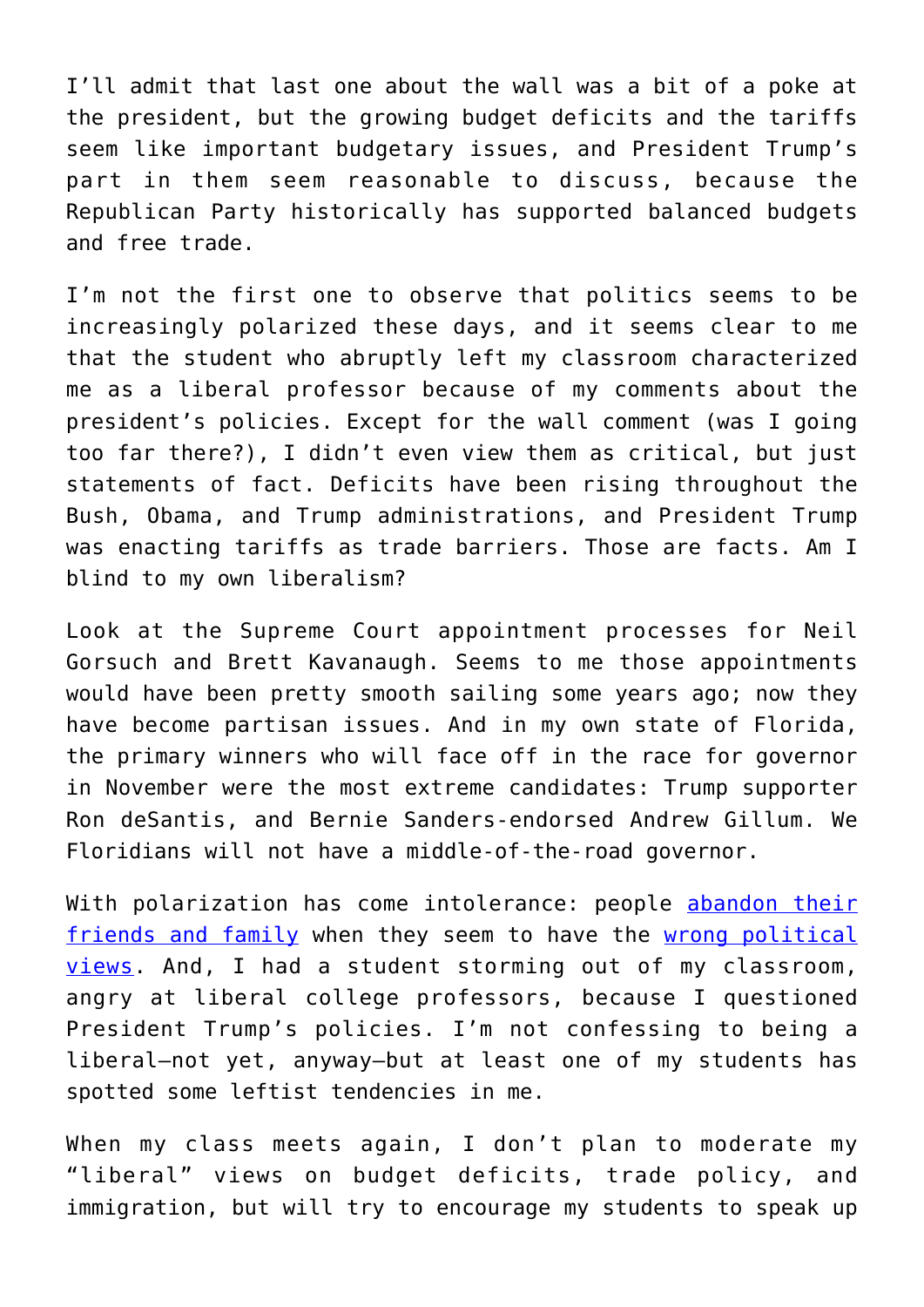I'll admit that last one about the wall was a bit of a poke at the president, but the growing budget deficits and the tariffs seem like important budgetary issues, and President Trump's part in them seem reasonable to discuss, because the Republican Party historically has supported balanced budgets and free trade.

I'm not the first one to observe that politics seems to be increasingly polarized these days, and it seems clear to me that the student who abruptly left my classroom characterized me as a liberal professor because of my comments about the president's policies. Except for the wall comment (was I going too far there?), I didn't even view them as critical, but just statements of fact. Deficits have been rising throughout the Bush, Obama, and Trump administrations, and President Trump was enacting tariffs as trade barriers. Those are facts. Am I blind to my own liberalism?

Look at the Supreme Court appointment processes for Neil Gorsuch and Brett Kavanaugh. Seems to me those appointments would have been pretty smooth sailing some years ago; now they have become partisan issues. And in my own state of Florida, the primary winners who will face off in the race for governor in November were the most extreme candidates: Trump supporter Ron deSantis, and Bernie Sanders-endorsed Andrew Gillum. We Floridians will not have a middle-of-the-road governor.

With polarization has come intolerance: people [abandon their](https://www.harpersbazaar.com/culture/politics/a11664976/divorce-trump-supporters/) [friends and family](https://www.harpersbazaar.com/culture/politics/a11664976/divorce-trump-supporters/) when they seem to have the [wrong political](http://time.com/4509441/presidential-debates-donald-trump-relationships/) [views](http://time.com/4509441/presidential-debates-donald-trump-relationships/). And, I had a student storming out of my classroom, angry at liberal college professors, because I questioned President Trump's policies. I'm not confessing to being a liberal—not yet, anyway—but at least one of my students has spotted some leftist tendencies in me.

When my class meets again, I don't plan to moderate my "liberal" views on budget deficits, trade policy, and immigration, but will try to encourage my students to speak up